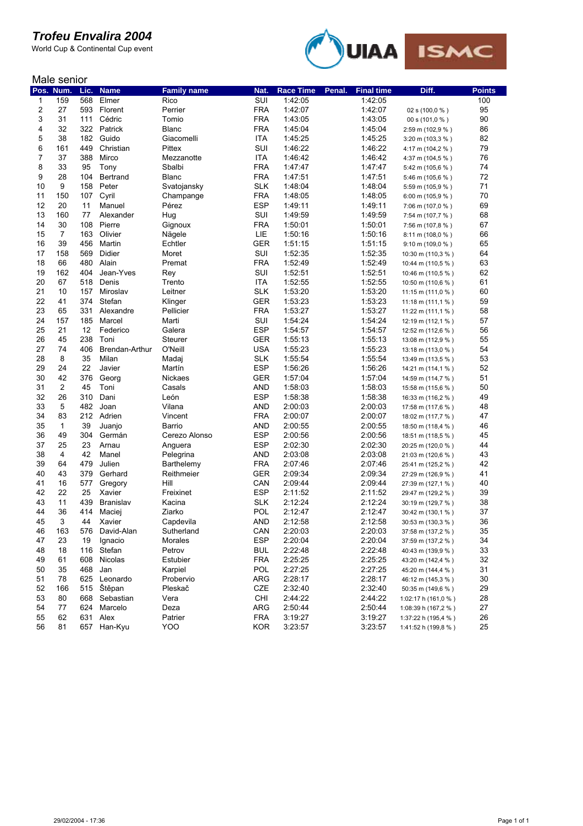World Cup & Continental Cup event



#### Male senior

| Pos.     | Num.           | Lic.       | <b>Name</b>         | <b>Family name</b>   | Nat.              | <b>Race Time</b>   | Penal. | <b>Final time</b>  | Diff.                              | <b>Points</b> |
|----------|----------------|------------|---------------------|----------------------|-------------------|--------------------|--------|--------------------|------------------------------------|---------------|
| 1        | 159            | 568        | Elmer               | Rico                 | SUI               | 1:42:05            |        | 1:42:05            |                                    | 100           |
| 2        | 27             | 593        | Florent             | Perrier              | <b>FRA</b>        | 1:42:07            |        | 1:42:07            | 02 s (100,0 %)                     | 95            |
| 3        | 31             | 111        | Cédric              | Tomio                | <b>FRA</b>        | 1:43:05            |        | 1:43:05            | 00 s (101,0 %)                     | 90            |
| 4        | 32             | 322        | Patrick             | <b>Blanc</b>         | <b>FRA</b>        | 1:45:04            |        | 1:45:04            | 2:59 m (102,9 %)                   | 86            |
| 5        | 38             | 182        | Guido               | Giacomelli           | ITA               | 1:45:25            |        | 1:45:25            | 3:20 m (103,3 %)                   | 82            |
| 6        | 161            | 449        | Christian           | Pittex               | SUI               | 1:46:22            |        | 1:46:22            | 4:17 m (104,2 %)                   | 79            |
| 7        | 37             | 388        | Mirco               | Mezzanotte           | <b>ITA</b>        | 1:46:42            |        | 1:46:42            | 4:37 m (104,5 %)                   | 76            |
| 8        | 33             | 95         | Tony                | Sbalbi               | <b>FRA</b>        | 1:47:47            |        | 1:47:47            | 5:42 m (105,6 %)                   | 74            |
| 9        | 28             | 104        | Bertrand            | <b>Blanc</b>         | <b>FRA</b>        | 1:47:51            |        | 1:47:51            | 5:46 m (105,6 %)                   | 72            |
| 10       | 9              | 158        | Peter               | Svatojansky          | <b>SLK</b>        | 1:48:04            |        | 1:48:04            | 5:59 m (105,9 %)                   | 71            |
| 11       | 150            | 107        | Cyril               | Champange            | <b>FRA</b>        | 1:48:05            |        | 1:48:05            | 6:00 m (105,9 %)                   | 70            |
| 12       | 20             | 11         | Manuel              | Pérez                | <b>ESP</b>        | 1:49:11            |        | 1:49:11            | 7:06 m (107,0 %)                   | 69            |
| 13       | 160            | 77         | Alexander           | Hug                  | SUI               | 1:49:59            |        | 1:49:59            | 7:54 m (107,7 %)                   | 68            |
| 14       | 30             | 108        | Pierre              | Gignoux              | <b>FRA</b>        | 1:50:01            |        | 1:50:01            | 7:56 m (107,8 %)                   | 67            |
| 15       | $\overline{7}$ | 163        | Olivier             | Nagele               | LIE               | 1:50:16            |        | 1:50:16            | $8:11 \text{ m} (108,0 \text{ %})$ | 66            |
| 16       | 39             | 456        | Martin              | Echtler              | <b>GER</b>        | 1:51:15            |        | 1:51:15            | $9:10 \text{ m} (109,0 %)$         | 65            |
| 17       | 158            | 569        | Didier              | Moret                | SUI               | 1:52:35            |        | 1:52:35            | 10:30 m (110,3 %)                  | 64            |
| 18       | 66             | 480        | Alain               | Premat               | <b>FRA</b>        | 1:52:49            |        | 1:52:49            | 10:44 m (110,5 %)                  | 63            |
| 19       | 162            | 404        | Jean-Yves           | Rey                  | SUI               | 1:52:51            |        | 1:52:51            | 10:46 m (110,5 %)                  | 62            |
| 20       | 67             | 518        | Denis               | Trento               | <b>ITA</b>        | 1:52:55            |        | 1:52:55            | 10:50 m (110,6 %)                  | 61            |
| 21       | 10             | 157        | Miroslav            | Leitner              | <b>SLK</b>        | 1:53:20            |        | 1:53:20            | 11:15 m (111,0 %)                  | 60            |
| 22       | 41             | 374        | Stefan              | Klinger              | <b>GER</b>        | 1:53:23            |        | 1:53:23            | 11:18 m (111,1 $%$ )               | 59            |
| 23       | 65             | 331        | Alexandre           | Pellicier            | <b>FRA</b>        | 1:53:27            |        | 1:53:27            | 11:22 m (111,1 %)                  | 58            |
| 24       | 157            | 185        | Marcel              | Marti                | SUI               | 1:54:24            |        | 1:54:24            | 12:19 m (112,1 %)                  | 57            |
| 25       | 21             | 12         | Federico            | Galera               | <b>ESP</b>        | 1:54:57            |        | 1:54:57            | 12:52 m (112,6 %)                  | 56            |
| 26       | 45             | 238        | Toni                | <b>Steurer</b>       | <b>GER</b>        | 1:55:13            |        | 1:55:13            | 13:08 m (112,9 %)                  | 55            |
| 27       | 74             | 406        | Brendan-Arthur      | O'Neill              | <b>USA</b>        | 1:55:23            |        | 1:55:23            | 13:18 m (113,0 %)                  | 54            |
| 28       | 8              | 35         | Milan               | Madaj                | <b>SLK</b>        | 1:55:54            |        | 1:55:54            | 13:49 m (113,5 %)                  | 53            |
| 29       | 24             | 22         | Javier              | Martín               | <b>ESP</b>        | 1:56:26            |        | 1:56:26            | 14:21 m (114,1 %)                  | 52            |
| 30       | 42             | 376        | Georg               | Nickaes              | <b>GER</b>        | 1:57:04            |        | 1:57:04            | 14:59 m (114,7 %)                  | 51            |
| 31       | $\mathbf{2}$   | 45         | Toni                | Casals               | <b>AND</b>        | 1:58:03            |        | 1:58:03            | 15:58 m (115,6 %)                  | 50            |
| 32       | 26             | 310        | Dani                | León                 | <b>ESP</b>        | 1:58:38            |        | 1:58:38            | 16:33 m (116,2 %)                  | 49            |
| 33       | 5              | 482        | Joan                | Vilana               | AND               | 2:00:03            |        | 2:00:03            | 17:58 m (117,6 %)                  | 48            |
| 34       | 83             | 212        | Adrien              | Vincent              | <b>FRA</b>        | 2:00:07            |        | 2:00:07            | 18:02 m (117,7 %)                  | 47            |
| 35       | 1              | 39         | Juanjo              | Barrio               | <b>AND</b>        | 2:00:55            |        | 2:00:55            | 18:50 m (118,4 %)                  | 46            |
| 36       | 49             | 304        | Germán              | Cerezo Alonso        | <b>ESP</b>        | 2:00:56            |        | 2:00:56            | 18:51 m (118,5 %)                  | 45            |
| 37       | 25             | 23         | Arnau               | Anguera              | <b>ESP</b>        | 2:02:30            |        | 2:02:30            | 20:25 m (120,0 %)                  | 44            |
| 38<br>39 | 4              | 42         | Manel               | Pelegrina            | <b>AND</b>        | 2:03:08            |        | 2:03:08            | 21:03 m (120,6 %)                  | 43            |
|          | 64             | 479        | Julien              | Barthelemy           | <b>FRA</b>        | 2:07:46            |        | 2:07:46            | 25:41 m (125,2 %)                  | 42            |
| 40       | 43             | 379        | Gerhard             | Reithmeier           | <b>GER</b>        | 2:09:34            |        | 2:09:34            | 27:29 m (126,9 %)                  | 41            |
| 41       | 16             | 577        | Gregory             | Hill                 | CAN               | 2:09:44            |        | 2:09:44            | 27:39 m (127,1 %)                  | 40            |
| 42<br>43 | 22             | 25         | Xavier              | Freixinet            | <b>ESP</b>        | 2:11:52            |        | 2:11:52            | 29:47 m (129,2 %)                  | 39<br>38      |
| 44       | 11<br>36       | 439        | Branislav           | Kacina               | <b>SLK</b>        | 2:12:24            |        | 2:12:24            | 30:19 m (129,7 %)                  | 37            |
| 45       | 3              | 414        | Maciej              | Ziarko               | POL               | 2:12:47            |        | 2:12:47            | 30:42 m (130,1 %)                  | 36            |
|          |                | 44         | Xavier              | Capdevila            | <b>AND</b>        | 2:12:58            |        | 2:12:58            | 30:53 m (130,3 %)                  |               |
| 46       | 163            | 576        | David-Alan          | Sutherland           | CAN               | 2:20:03            |        | 2:20:03            | 37:58 m (137,2 %)                  | 35            |
| 47       | 23             | 19         | Ignacio             | Morales              | <b>ESP</b>        | 2:20:04            |        | 2:20:04            | 37:59 m (137,2 %)                  | 34            |
| 48       | 18             |            | 116 Stefan          | Petrov               | <b>BUL</b>        | 2:22:48            |        | 2:22:48            | 40:43 m (139,9 %)                  | 33            |
| 49       | 61             | 608        | Nicolas             | Estubier             | <b>FRA</b><br>POL | 2:25:25            |        | 2:25:25            | 43:20 m (142,4 %)                  | 32<br>31      |
| 50<br>51 | 35<br>78       | 468        | Jan<br>625 Leonardo | Karpiel              | <b>ARG</b>        | 2:27:25            |        | 2:27:25            | 45:20 m (144,4 %)                  | 30            |
| 52       | 166            | 515        | Štěpan              | Probervio<br>Pleskač | CZE               | 2:28:17            |        | 2:28:17            | 46:12 m (145,3 %)                  | 29            |
| 53       |                |            |                     |                      |                   | 2:32:40            |        | 2:32:40            | 50:35 m (149,6 %)                  | 28            |
| 54       | 80             | 668        | Sebastian           | Vera                 | <b>CHI</b><br>ARG | 2:44:22            |        | 2:44:22            | 1:02:17 h (161,0 %)                |               |
| 55       | 77<br>62       | 624<br>631 | Marcelo<br>Alex     | Deza<br>Patrier      | <b>FRA</b>        | 2:50:44<br>3:19:27 |        | 2:50:44<br>3:19:27 | 1:08:39 h (167,2 %)                | 27<br>26      |
| 56       | 81             |            | 657 Han-Kyu         | YOO                  | <b>KOR</b>        | 3:23:57            |        | 3:23:57            | 1:37:22 h (195,4 %)                | 25            |
|          |                |            |                     |                      |                   |                    |        |                    | 1:41:52 h (199,8 %)                |               |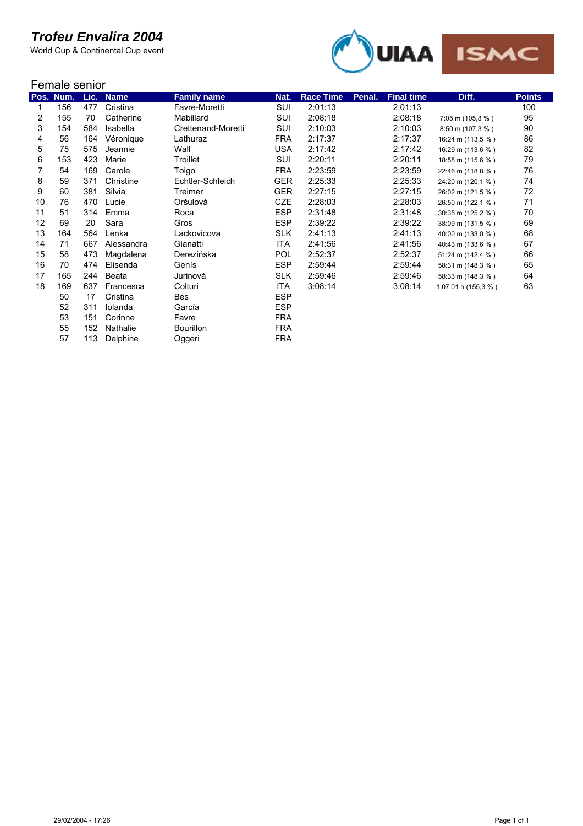

|    | Female senior |      |             |                    |            |                  |        |                   |                     |               |  |
|----|---------------|------|-------------|--------------------|------------|------------------|--------|-------------------|---------------------|---------------|--|
|    | Pos. Num.     | Lic. | <b>Name</b> | <b>Family name</b> | Nat.       | <b>Race Time</b> | Penal. | <b>Final time</b> | Diff.               | <b>Points</b> |  |
| 1  | 156           | 477  | Cristina    | Favre-Moretti      | SUI        | 2:01:13          |        | 2:01:13           |                     | 100           |  |
| 2  | 155           | 70   | Catherine   | Mabillard          | SUI        | 2:08:18          |        | 2:08:18           | 7:05 m (105,8 %)    | 95            |  |
| 3  | 154           | 584  | Isabella    | Crettenand-Moretti | SUI        | 2:10:03          |        | 2:10:03           | 8:50 m (107,3 %)    | 90            |  |
| 4  | 56            | 164  | Véronique   | Lathuraz           | <b>FRA</b> | 2:17:37          |        | 2:17:37           | 16:24 m (113,5 %)   | 86            |  |
| 5  | 75            | 575  | Jeannie     | Wall               | <b>USA</b> | 2:17:42          |        | 2:17:42           | 16:29 m (113,6 %)   | 82            |  |
| 6  | 153           | 423  | Marie       | Troillet           | SUI        | 2:20:11          |        | 2:20:11           | 18:58 m (115,6 %)   | 79            |  |
| 7  | 54            | 169  | Carole      | Toigo              | <b>FRA</b> | 2:23:59          |        | 2:23:59           | 22:46 m (118,8 %)   | 76            |  |
| 8  | 59            | 371  | Christine   | Echtler-Schleich   | <b>GER</b> | 2:25:33          |        | 2:25:33           | 24:20 m (120,1 %)   | 74            |  |
| 9  | 60            | 381  | Silvia      | Treimer            | <b>GER</b> | 2:27:15          |        | 2:27:15           | 26:02 m (121,5 %)   | 72            |  |
| 10 | 76            | 470  | Lucie       | Oršulová           | <b>CZE</b> | 2:28:03          |        | 2:28:03           | 26:50 m (122,1 %)   | 71            |  |
| 11 | 51            | 314  | Emma        | Roca               | <b>ESP</b> | 2:31:48          |        | 2:31:48           | 30:35 m (125,2 %)   | 70            |  |
| 12 | 69            | 20   | Sara        | Gros               | <b>ESP</b> | 2:39:22          |        | 2:39:22           | 38:09 m (131,5 %)   | 69            |  |
| 13 | 164           | 564  | Lenka       | Lackovicova        | <b>SLK</b> | 2:41:13          |        | 2:41:13           | 40:00 m (133,0 %)   | 68            |  |
| 14 | 71            | 667  | Alessandra  | Gianatti           | ITA        | 2:41:56          |        | 2:41:56           | 40:43 m (133,6 %)   | 67            |  |
| 15 | 58            | 473  | Magdalena   | Derezińska         | <b>POL</b> | 2:52:37          |        | 2:52:37           | 51:24 m (142,4 %)   | 66            |  |
| 16 | 70            | 474  | Elisenda    | Genís              | <b>ESP</b> | 2:59:44          |        | 2:59:44           | 58:31 m (148,3 %)   | 65            |  |
| 17 | 165           | 244  | Beata       | Jurinová           | <b>SLK</b> | 2:59:46          |        | 2:59:46           | 58:33 m (148,3 %)   | 64            |  |
| 18 | 169           | 637  | Francesca   | Colturi            | <b>ITA</b> | 3:08:14          |        | 3:08:14           | 1:07:01 h (155,3 %) | 63            |  |
|    | 50            | 17   | Cristina    | <b>Bes</b>         | <b>ESP</b> |                  |        |                   |                     |               |  |
|    | 52            | 311  | Iolanda     | García             | <b>ESP</b> |                  |        |                   |                     |               |  |
|    | 53            | 151  | Corinne     | Favre              | <b>FRA</b> |                  |        |                   |                     |               |  |
|    | 55            | 152  | Nathalie    | <b>Bourillon</b>   | <b>FRA</b> |                  |        |                   |                     |               |  |
|    | 57            | 113  | Delphine    | Oggeri             | <b>FRA</b> |                  |        |                   |                     |               |  |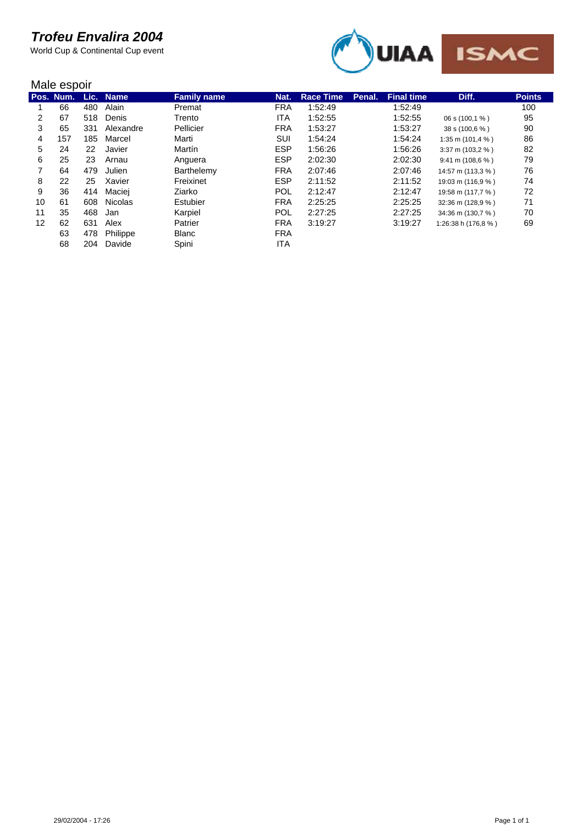

|    | Male espoir |     |                |                    |            |                  |        |                   |                                    |               |  |  |
|----|-------------|-----|----------------|--------------------|------------|------------------|--------|-------------------|------------------------------------|---------------|--|--|
|    | Pos. Num.   |     | Lic. Name      | <b>Family name</b> | Nat.       | <b>Race Time</b> | Penal. | <b>Final time</b> | Diff.                              | <b>Points</b> |  |  |
|    | 66          | 480 | Alain          | Premat             | <b>FRA</b> | 1:52:49          |        | 1:52:49           |                                    | 100           |  |  |
| 2  | 67          | 518 | Denis          | Trento             | ITA        | 1:52:55          |        | 1:52:55           | 06 s (100,1 %)                     | 95            |  |  |
| 3  | 65          | 331 | Alexandre      | Pellicier          | <b>FRA</b> | 1:53:27          |        | 1:53:27           | 38 s (100,6 %)                     | 90            |  |  |
| 4  | 157         | 185 | Marcel         | Marti              | SUI        | 1:54:24          |        | 1:54:24           | 1:35 m $(101.4 %$                  | 86            |  |  |
| 5  | 24          | 22  | Javier         | Martín             | <b>ESP</b> | 1:56:26          |        | 1:56:26           | $3:37 \text{ m} (103.2 \text{ %})$ | 82            |  |  |
| 6  | 25          | 23  | Arnau          | Anguera            | <b>ESP</b> | 2:02:30          |        | 2:02:30           | $9:41 \text{ m} (108.6 \%)$        | 79            |  |  |
| 7  | 64          | 479 | Julien         | Barthelemy         | <b>FRA</b> | 2:07:46          |        | 2:07:46           | 14:57 m (113,3 %)                  | 76            |  |  |
| 8  | 22          | 25  | Xavier         | Freixinet          | <b>ESP</b> | 2:11:52          |        | 2:11:52           | 19:03 m (116,9 %)                  | 74            |  |  |
| 9  | 36          | 414 | Maciej         | Ziarko             | <b>POL</b> | 2:12:47          |        | 2:12:47           | 19:58 m (117,7 %)                  | 72            |  |  |
| 10 | 61          | 608 | <b>Nicolas</b> | Estubier           | <b>FRA</b> | 2:25:25          |        | 2:25:25           | 32:36 m (128,9 %)                  | 71            |  |  |
| 11 | 35          | 468 | Jan            | Karpiel            | <b>POL</b> | 2:27:25          |        | 2:27:25           | 34:36 m (130,7 %)                  | 70            |  |  |
| 12 | 62          | 631 | Alex           | Patrier            | <b>FRA</b> | 3:19:27          |        | 3:19:27           | 1:26:38 h (176,8 %)                | 69            |  |  |
|    | 63          | 478 | Philippe       | <b>Blanc</b>       | <b>FRA</b> |                  |        |                   |                                    |               |  |  |
|    | 68          | 204 | Davide         | Spini              | <b>ITA</b> |                  |        |                   |                                    |               |  |  |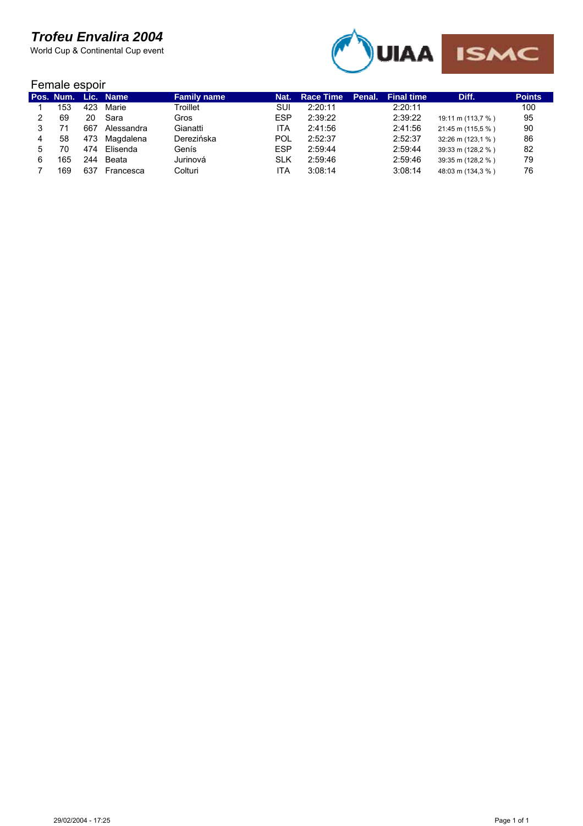World Cup & Continental Cup event



#### Female espoir

 $\overline{\phantom{a}}$ 

|   |     |     | Pos. Num. Lic. Name | <b>Family name</b> | Nat.       | <b>Race Time</b> | Penal. | <b>Final time</b> | Diff.             | <b>Points</b> |  |  |
|---|-----|-----|---------------------|--------------------|------------|------------------|--------|-------------------|-------------------|---------------|--|--|
|   | 153 | 423 | Marie               | Troillet           | SUI        | 2:20:11          |        | 2:20:11           |                   | 100           |  |  |
|   | 69  | 20  | Sara                | Gros               | <b>ESP</b> | 2:39:22          |        | 2:39:22           | 19:11 m (113,7 %) | 95            |  |  |
|   |     | 667 | Alessandra          | Gianatti           | ITA        | 2:41:56          |        | 2:41:56           | 21:45 m (115,5 %) | 90            |  |  |
| 4 | 58  | 473 | Magdalena           | Derezińska         | POL        | 2:52:37          |        | 2:52:37           | 32:26 m (123,1 %) | 86            |  |  |
|   | 70  | 474 | Elisenda            | Genís              | <b>ESP</b> | 2:59:44          |        | 2:59:44           | 39:33 m (128,2 %) | 82            |  |  |
|   | 165 | 244 | Beata               | Jurinová           | <b>SLK</b> | 2:59:46          |        | 2:59:46           | 39:35 m (128,2 %) | 79            |  |  |
|   | 169 | 637 | Francesca           | Colturi            | ITA        | 3:08:14          |        | 3:08:14           | 48:03 m (134,3 %) | 76            |  |  |
|   |     |     |                     |                    |            |                  |        |                   |                   |               |  |  |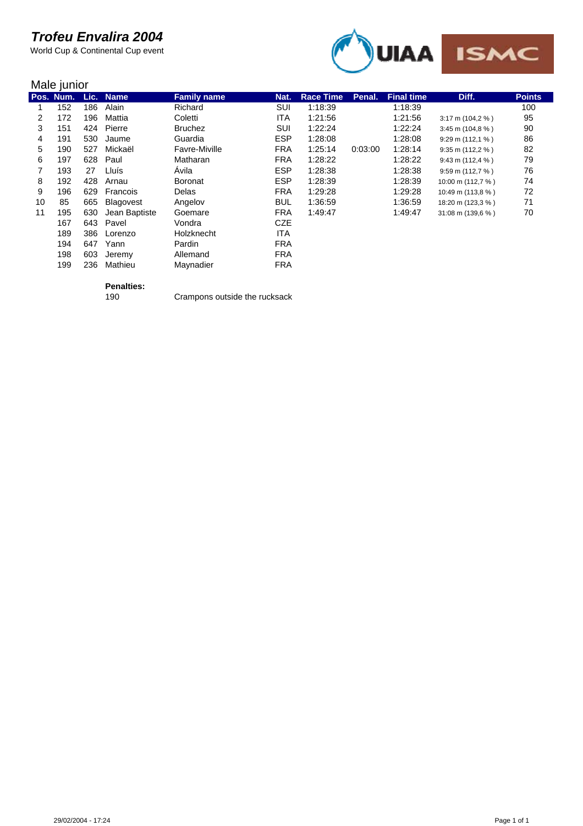World Cup & Continental Cup event



|    | Male junior |      |               |                    |            |                  |         |                   |                                    |               |  |
|----|-------------|------|---------------|--------------------|------------|------------------|---------|-------------------|------------------------------------|---------------|--|
|    | Pos. Num.   | Lic. | <b>Name</b>   | <b>Family name</b> | Nat.       | <b>Race Time</b> | Penal.  | <b>Final time</b> | Diff.                              | <b>Points</b> |  |
|    | 152         | 186  | Alain         | Richard            | SUI        | 1:18:39          |         | 1:18:39           |                                    | 100           |  |
| 2  | 172         | 196  | Mattia        | Coletti            | <b>ITA</b> | 1:21:56          |         | 1:21:56           | $3:17 \text{ m} (104.2 \% )$       | 95            |  |
| 3  | 151         | 424  | Pierre        | <b>Bruchez</b>     | SUI        | 1:22:24          |         | 1:22:24           | $3:45 \text{ m} (104,8 \text{ %})$ | 90            |  |
| 4  | 191         | 530  | Jaume         | Guardia            | <b>ESP</b> | 1:28:08          |         | 1:28:08           | $9:29 \text{ m} (112,1 \%)$        | 86            |  |
| 5  | 190         | 527  | Mickaël       | Favre-Miville      | <b>FRA</b> | 1:25:14          | 0:03:00 | 1:28:14           | $9:35$ m (112,2 %)                 | 82            |  |
| 6  | 197         | 628  | Paul          | Matharan           | <b>FRA</b> | 1:28:22          |         | 1:28:22           | $9:43 \text{ m} (112,4 \text{ %})$ | 79            |  |
| 7  | 193         | 27   | Lluís         | Avila              | <b>ESP</b> | 1:28:38          |         | 1:28:38           | $9:59 \text{ m} (112.7 \%)$        | 76            |  |
| 8  | 192         | 428  | Arnau         | <b>Boronat</b>     | <b>ESP</b> | 1:28:39          |         | 1:28:39           | 10:00 m (112,7 %)                  | 74            |  |
| 9  | 196         | 629  | Francois      | Delas              | <b>FRA</b> | 1:29:28          |         | 1:29:28           | 10:49 m (113,8 %)                  | 72            |  |
| 10 | 85          | 665  | Blagovest     | Angelov            | <b>BUL</b> | 1:36:59          |         | 1:36:59           | 18:20 m (123,3 %)                  | 71            |  |
| 11 | 195         | 630  | Jean Baptiste | Goemare            | <b>FRA</b> | 1:49:47          |         | 1:49:47           | 31:08 m (139,6 %)                  | 70            |  |
|    | 167         | 643  | Pavel         | Vondra             | <b>CZE</b> |                  |         |                   |                                    |               |  |
|    | 189         | 386  | Lorenzo       | Holzknecht         | <b>ITA</b> |                  |         |                   |                                    |               |  |
|    | 194         | 647  | Yann          | Pardin             | <b>FRA</b> |                  |         |                   |                                    |               |  |
|    | 198         | 603  | Jeremy        | Allemand           | <b>FRA</b> |                  |         |                   |                                    |               |  |

# **Penalties:**

198 603 Jeremy Allemand FRA<br>199 236 Mathieu Maynadier FRA

199 236 Mathieu

Crampons outside the rucksack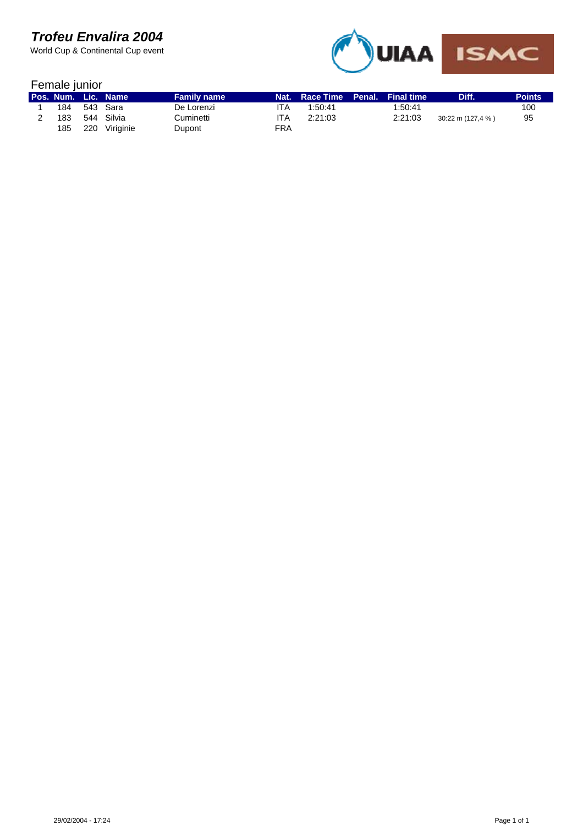

| Female junior |     |                     |                    |            |                       |  |                   |                   |               |  |
|---------------|-----|---------------------|--------------------|------------|-----------------------|--|-------------------|-------------------|---------------|--|
|               |     | Pos. Num. Lic. Name | <b>Family name</b> |            | Nat. Race Time Penal. |  | <b>Final time</b> | Diff.             | <b>Points</b> |  |
| 184           |     | 543 Sara            | De Lorenzi         | ITA        | 1:50:41               |  | 1:50:41           |                   | 100           |  |
| 183           | 544 | Silvia              | Cuminetti          | ITA        | 2:21:03               |  | 2:21:03           | 30:22 m (127,4 %) | 95            |  |
| 185           |     | 220 Viriginie       | Dupont             | <b>FRA</b> |                       |  |                   |                   |               |  |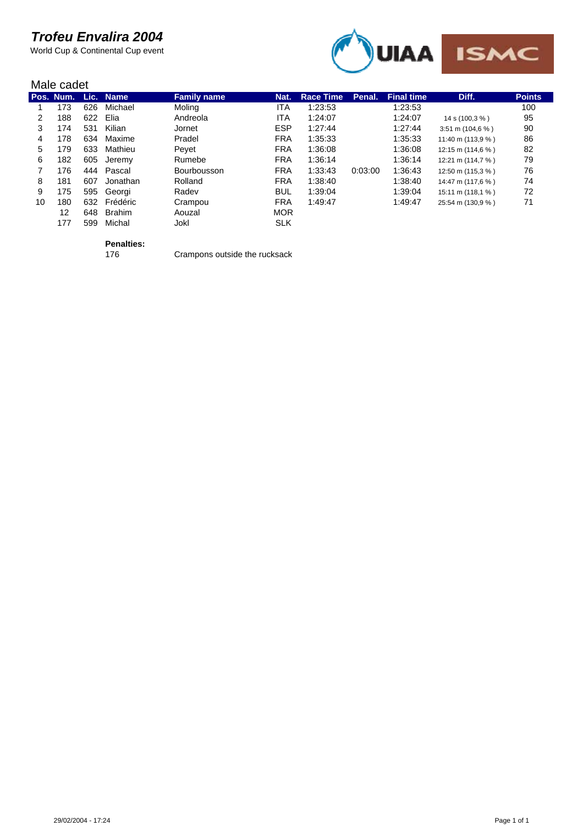World Cup & Continental Cup event



|    | Male cadet          |     |               |                    |            |                  |         |                    |                                    |               |  |
|----|---------------------|-----|---------------|--------------------|------------|------------------|---------|--------------------|------------------------------------|---------------|--|
|    | Pos. Num. Lic. Name |     |               | <b>Family name</b> | Nat.       | <b>Race Time</b> | Penal.  | <b>Final time.</b> | Diff.                              | <b>Points</b> |  |
|    | 173                 | 626 | Michael       | Moling             | ITA        | 1:23:53          |         | 1:23:53            |                                    | 100           |  |
| 2  | 188                 | 622 | Elia          | Andreola           | ITA        | 1:24:07          |         | 1:24:07            | 14 s (100,3 %)                     | 95            |  |
| 3  | 174                 | 531 | Kilian        | Jornet             | <b>ESP</b> | 1:27:44          |         | 1:27:44            | $3:51 \text{ m} (104.6 \text{ %})$ | 90            |  |
| 4  | 178                 | 634 | Maxime        | Pradel             | <b>FRA</b> | 1:35:33          |         | 1:35:33            | 11:40 m (113,9 %)                  | 86            |  |
| 5  | 179                 | 633 | Mathieu       | Peyet              | <b>FRA</b> | 1:36:08          |         | 1:36:08            | 12:15 m $(114.6 %)$                | 82            |  |
| 6  | 182                 | 605 | Jeremy        | Rumebe             | <b>FRA</b> | 1:36:14          |         | 1:36:14            | 12:21 m (114,7 %)                  | 79            |  |
|    | 176                 | 444 | Pascal        | Bourbousson        | <b>FRA</b> | 1:33:43          | 0:03:00 | 1:36:43            | 12:50 m (115,3 %)                  | 76            |  |
| 8  | 181                 | 607 | Jonathan      | Rolland            | <b>FRA</b> | 1:38:40          |         | 1:38:40            | 14:47 m (117,6 %)                  | 74            |  |
| 9  | 175                 | 595 | Georgi        | Radev              | <b>BUL</b> | 1:39:04          |         | 1:39:04            | $15:11 \text{ m} (118.1 \%)$       | 72            |  |
| 10 | 180                 | 632 | Frédéric      | Crampou            | <b>FRA</b> | 1:49:47          |         | 1:49:47            | 25:54 m (130,9 %)                  | 71            |  |
|    | 12                  | 648 | <b>Brahim</b> | Aouzal             | <b>MOR</b> |                  |         |                    |                                    |               |  |
|    | 177                 | 599 | Michal        | Jokl               | <b>SLK</b> |                  |         |                    |                                    |               |  |

**Penalties:**

Crampons outside the rucksack